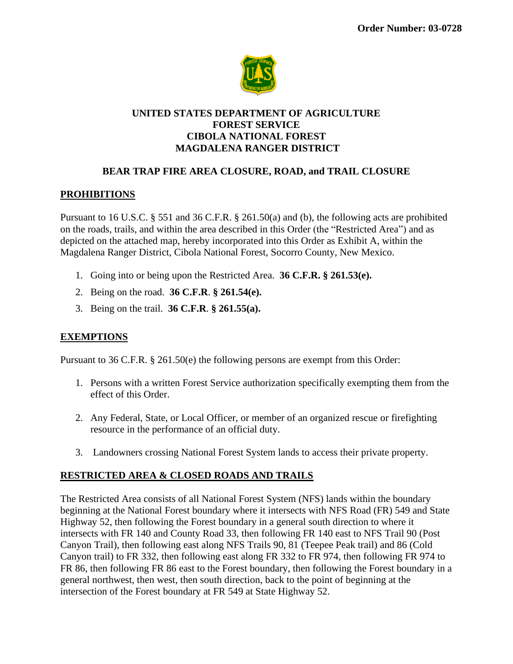

### **UNITED STATES DEPARTMENT OF AGRICULTURE FOREST SERVICE CIBOLA NATIONAL FOREST MAGDALENA RANGER DISTRICT**

# **BEAR TRAP FIRE AREA CLOSURE, ROAD, and TRAIL CLOSURE**

## **PROHIBITIONS**

Pursuant to 16 U.S.C. § 551 and 36 C.F.R. § 261.50(a) and (b), the following acts are prohibited on the roads, trails, and within the area described in this Order (the "Restricted Area") and as depicted on the attached map, hereby incorporated into this Order as Exhibit A, within the Magdalena Ranger District, Cibola National Forest, Socorro County, New Mexico.

- 1. Going into or being upon the Restricted Area. **36 C.F.R. § 261.53(e).**
- 2. Being on the road. **36 C.F.R**. **§ 261.54(e).**
- 3. Being on the trail. **36 C.F.R**. **§ 261.55(a).**

#### **EXEMPTIONS**

Pursuant to 36 C.F.R. § 261.50(e) the following persons are exempt from this Order:

- 1. Persons with a written Forest Service authorization specifically exempting them from the effect of this Order.
- 2. Any Federal, State, or Local Officer, or member of an organized rescue or firefighting resource in the performance of an official duty.
- 3. Landowners crossing National Forest System lands to access their private property.

#### **RESTRICTED AREA & CLOSED ROADS AND TRAILS**

The Restricted Area consists of all National Forest System (NFS) lands within the boundary beginning at the National Forest boundary where it intersects with NFS Road (FR) 549 and State Highway 52, then following the Forest boundary in a general south direction to where it intersects with FR 140 and County Road 33, then following FR 140 east to NFS Trail 90 (Post Canyon Trail), then following east along NFS Trails 90, 81 (Teepee Peak trail) and 86 (Cold Canyon trail) to FR 332, then following east along FR 332 to FR 974, then following FR 974 to FR 86, then following FR 86 east to the Forest boundary, then following the Forest boundary in a general northwest, then west, then south direction, back to the point of beginning at the intersection of the Forest boundary at FR 549 at State Highway 52.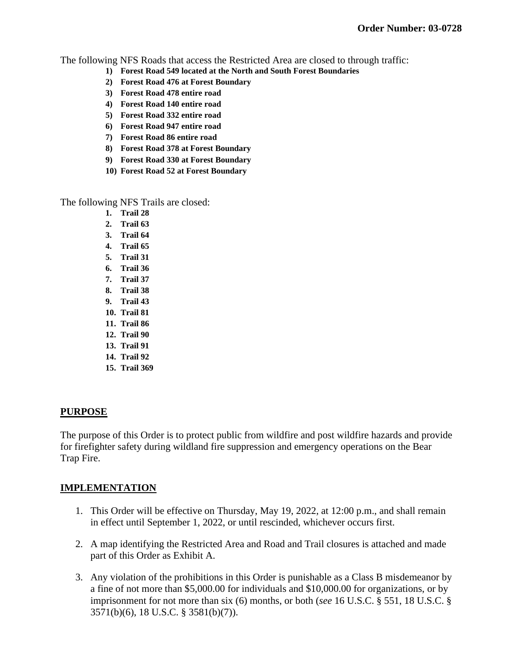The following NFS Roads that access the Restricted Area are closed to through traffic:

- **1) Forest Road 549 located at the North and South Forest Boundaries**
- **2) Forest Road 476 at Forest Boundary**
- **3) Forest Road 478 entire road**
- **4) Forest Road 140 entire road**
- **5) Forest Road 332 entire road**
- **6) Forest Road 947 entire road**
- **7) Forest Road 86 entire road**
- **8) Forest Road 378 at Forest Boundary**
- **9) Forest Road 330 at Forest Boundary**
- **10) Forest Road 52 at Forest Boundary**

The following NFS Trails are closed:

- **1. Trail 28**
- **2. Trail 63**
- **3. Trail 64**
- **4. Trail 65**
- **5. Trail 31**
- **6. Trail 36**
- **7. Trail 37**
- **8. Trail 38**
- **9. Trail 43**
- **10. Trail 81**
- **11. Trail 86**
- **12. Trail 90**
- **13. Trail 91**
- **14. Trail 92**
- **15. Trail 369**

#### **PURPOSE**

The purpose of this Order is to protect public from wildfire and post wildfire hazards and provide for firefighter safety during wildland fire suppression and emergency operations on the Bear Trap Fire.

## **IMPLEMENTATION**

- 1. This Order will be effective on Thursday, May 19, 2022, at 12:00 p.m., and shall remain in effect until September 1, 2022, or until rescinded, whichever occurs first.
- 2. A map identifying the Restricted Area and Road and Trail closures is attached and made part of this Order as Exhibit A.
- 3. Any violation of the prohibitions in this Order is punishable as a Class B misdemeanor by a fine of not more than \$5,000.00 for individuals and \$10,000.00 for organizations, or by imprisonment for not more than six (6) months, or both (*see* 16 U.S.C. § 551, 18 U.S.C. § 3571(b)(6), 18 U.S.C. § 3581(b)(7)).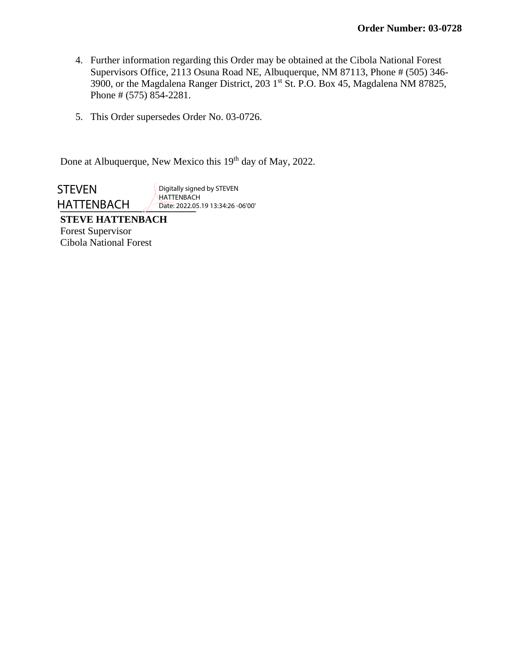- 4. Further information regarding this Order may be obtained at the Cibola National Forest Supervisors Office, 2113 Osuna Road NE, Albuquerque, NM 87113, Phone # (505) 346- 3900, or the Magdalena Ranger District, 203 1st St. P.O. Box 45, Magdalena NM 87825, Phone # (575) 854-2281.
- 5. This Order supersedes Order No. 03-0726.

Done at Albuquerque, New Mexico this 19<sup>th</sup> day of May, 2022.

HATTENBACH Date: 2022.0 **STEVEN** 

Digitally signed by STEVEN HATTENBACH Date: 2022.05.19 13:34:26 -06'00'

**STEVE HATTENBACH** Forest Supervisor Cibola National Forest